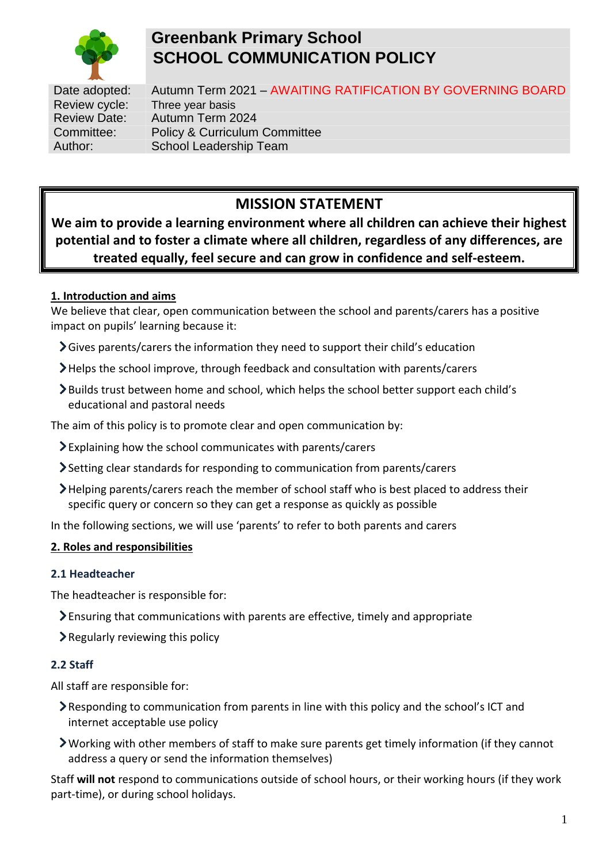

# **Greenbank Primary School SCHOOL COMMUNICATION POLICY**

Date adopted: Autumn Term 2021 - AWAITING RATIFICATION BY GOVERNING BOARD Review cycle: Three year basis Review Date: Autumn Term 2024 Committee: Policy & Curriculum Committee Author: School Leadership Team

# **MISSION STATEMENT**

**We aim to provide a learning environment where all children can achieve their highest potential and to foster a climate where all children, regardless of any differences, are treated equally, feel secure and can grow in confidence and self-esteem.**

# **1. Introduction and aims**

We believe that clear, open communication between the school and parents/carers has a positive impact on pupils' learning because it:

- Gives parents/carers the information they need to support their child's education
- Helps the school improve, through feedback and consultation with parents/carers
- Builds trust between home and school, which helps the school better support each child's educational and pastoral needs

The aim of this policy is to promote clear and open communication by:

- Explaining how the school communicates with parents/carers
- Setting clear standards for responding to communication from parents/carers
- Helping parents/carers reach the member of school staff who is best placed to address their specific query or concern so they can get a response as quickly as possible

In the following sections, we will use 'parents' to refer to both parents and carers

# **2. Roles and responsibilities**

#### **2.1 Headteacher**

The headteacher is responsible for:

- Ensuring that communications with parents are effective, timely and appropriate
- $\blacktriangleright$  Regularly reviewing this policy

#### **2.2 Staff**

All staff are responsible for:

- Responding to communication from parents in line with this policy and the school's ICT and internet acceptable use policy
- Working with other members of staff to make sure parents get timely information (if they cannot address a query or send the information themselves)

Staff **will not** respond to communications outside of school hours, or their working hours (if they work part-time), or during school holidays.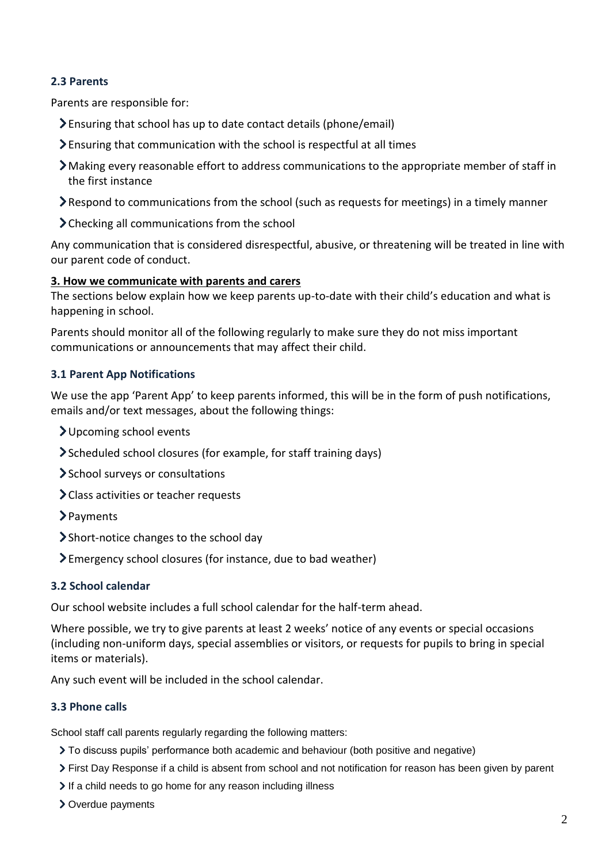# **2.3 Parents**

Parents are responsible for:

- Ensuring that school has up to date contact details (phone/email)
- $\sum$  Ensuring that communication with the school is respectful at all times
- $\sum$  Making every reasonable effort to address communications to the appropriate member of staff in the first instance
- Respond to communications from the school (such as requests for meetings) in a timely manner
- > Checking all communications from the school

Any communication that is considered disrespectful, abusive, or threatening will be treated in line with our parent code of conduct.

## **3. How we communicate with parents and carers**

The sections below explain how we keep parents up-to-date with their child's education and what is happening in school.

Parents should monitor all of the following regularly to make sure they do not miss important communications or announcements that may affect their child.

## **3.1 Parent App Notifications**

We use the app 'Parent App' to keep parents informed, this will be in the form of push notifications, emails and/or text messages, about the following things:

- Upcoming school events
- Scheduled school closures (for example, for staff training days)
- > School surveys or consultations
- Class activities or teacher requests
- > Payments
- Short-notice changes to the school day
- Emergency school closures (for instance, due to bad weather)

#### **3.2 School calendar**

Our school website includes a full school calendar for the half-term ahead.

Where possible, we try to give parents at least 2 weeks' notice of any events or special occasions (including non-uniform days, special assemblies or visitors, or requests for pupils to bring in special items or materials).

Any such event will be included in the school calendar.

# **3.3 Phone calls**

School staff call parents regularly regarding the following matters:

- To discuss pupils' performance both academic and behaviour (both positive and negative)
- First Day Response if a child is absent from school and not notification for reason has been given by parent
- If a child needs to go home for any reason including illness
- Overdue payments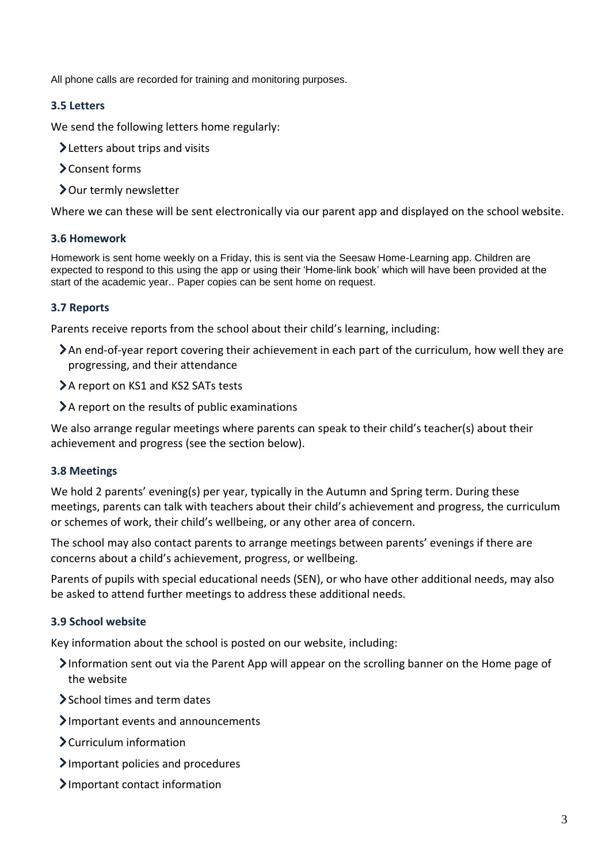All phone calls are recorded for training and monitoring purposes.

## **3.5 Letters**

We send the following letters home regularly:

- **>Letters about trips and visits**
- Consent forms
- > Our termly newsletter

Where we can these will be sent electronically via our parent app and displayed on the school website.

#### **3.6 Homework**

Homework is sent home weekly on a Friday, this is sent via the Seesaw Home-Learning app. Children are expected to respond to this using the app or using their 'Home-link book' which will have been provided at the start of the academic year.. Paper copies can be sent home on request.

## **3.7 Reports**

Parents receive reports from the school about their child's learning, including:

- An end-of-year report covering their achievement in each part of the curriculum, how well they are progressing, and their attendance
- > A report on KS1 and KS2 SATs tests
- > A report on the results of public examinations

We also arrange regular meetings where parents can speak to their child's teacher(s) about their achievement and progress (see the section below).

#### **3.8 Meetings**

We hold 2 parents' evening(s) per year, typically in the Autumn and Spring term. During these meetings, parents can talk with teachers about their child's achievement and progress, the curriculum or schemes of work, their child's wellbeing, or any other area of concern.

The school may also contact parents to arrange meetings between parents' evenings if there are concerns about a child's achievement, progress, or wellbeing.

Parents of pupils with special educational needs (SEN), or who have other additional needs, may also be asked to attend further meetings to address these additional needs.

#### **3.9 School website**

Key information about the school is posted on our website, including:

- Information sent out via the Parent App will appear on the scrolling banner on the Home page of the website
- School times and term dates
- Important events and announcements
- Curriculum information
- Important policies and procedures
- Important contact information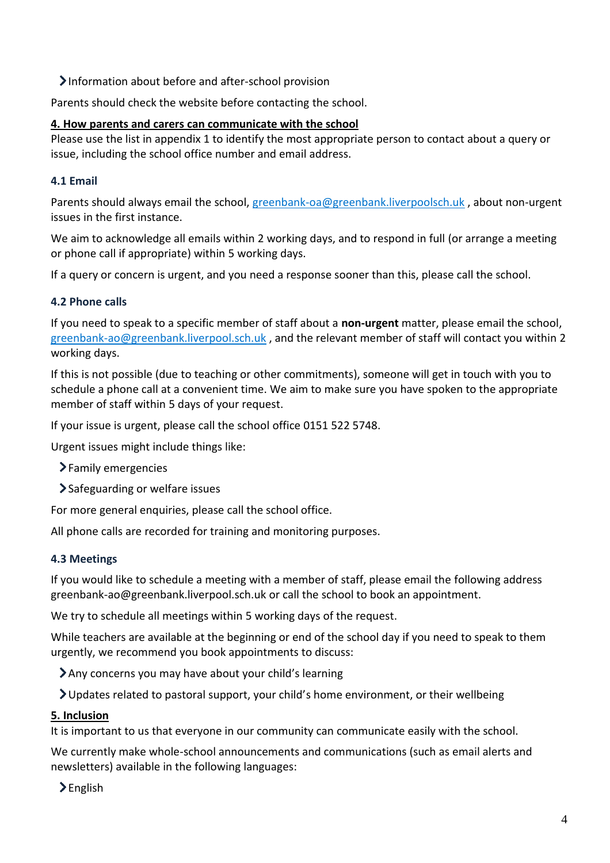Information about before and after-school provision

Parents should check the website before contacting the school.

# **4. How parents and carers can communicate with the school**

Please use the list in appendix 1 to identify the most appropriate person to contact about a query or issue, including the school office number and email address.

# **4.1 Email**

Parents should always email the school, [greenbank-oa@greenbank.liverpoolsch.uk](mailto:greenbank-oa@greenbank.liverpoolsch.uk) , about non-urgent issues in the first instance.

We aim to acknowledge all emails within 2 working days, and to respond in full (or arrange a meeting or phone call if appropriate) within 5 working days.

If a query or concern is urgent, and you need a response sooner than this, please call the school.

# **4.2 Phone calls**

If you need to speak to a specific member of staff about a **non-urgent** matter, please email the school, [greenbank-ao@greenbank.liverpool.sch.uk](mailto:greenbank-ao@greenbank.liverpool.sch.uk) , and the relevant member of staff will contact you within 2 working days.

If this is not possible (due to teaching or other commitments), someone will get in touch with you to schedule a phone call at a convenient time. We aim to make sure you have spoken to the appropriate member of staff within 5 days of your request.

If your issue is urgent, please call the school office 0151 522 5748.

Urgent issues might include things like:

Family emergencies

Safeguarding or welfare issues

For more general enquiries, please call the school office.

All phone calls are recorded for training and monitoring purposes.

# **4.3 Meetings**

If you would like to schedule a meeting with a member of staff, please email the following address greenbank-ao@greenbank.liverpool.sch.uk or call the school to book an appointment.

We try to schedule all meetings within 5 working days of the request.

While teachers are available at the beginning or end of the school day if you need to speak to them urgently, we recommend you book appointments to discuss:

Any concerns you may have about your child's learning

Updates related to pastoral support, your child's home environment, or their wellbeing

# **5. Inclusion**

It is important to us that everyone in our community can communicate easily with the school.

We currently make whole-school announcements and communications (such as email alerts and newsletters) available in the following languages:

>English